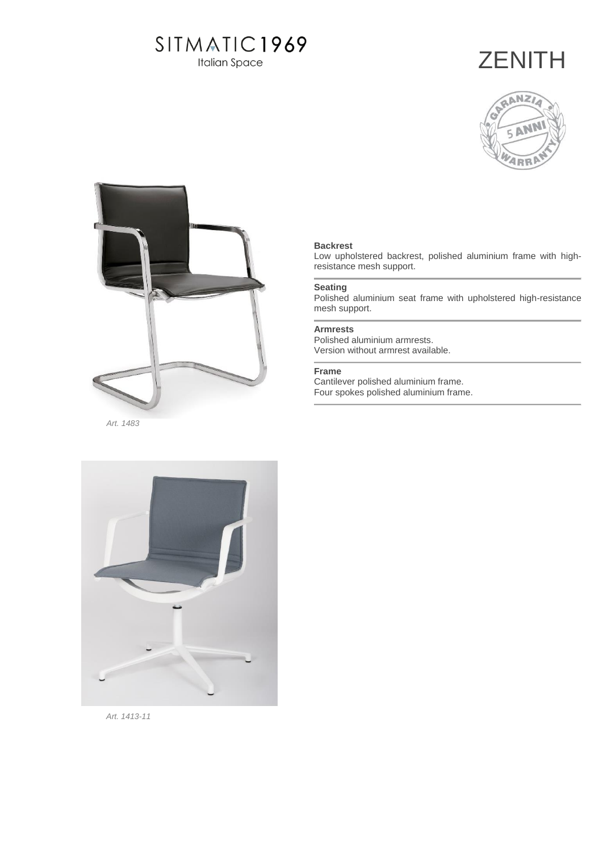# SITMATIC1969

**Italian Space** 

# **ZENITH**





### **Backrest**

Low upholstered backrest, polished aluminium frame with highresistance mesh support.

### **Seating**

Polished aluminium seat frame with upholstered high-resistance mesh support.

#### **Armrests**

Polished aluminium armrests. Version without armrest available.

### **Frame**

Cantilever polished aluminium frame. Four spokes polished aluminium frame.



 *Art. 1413-11*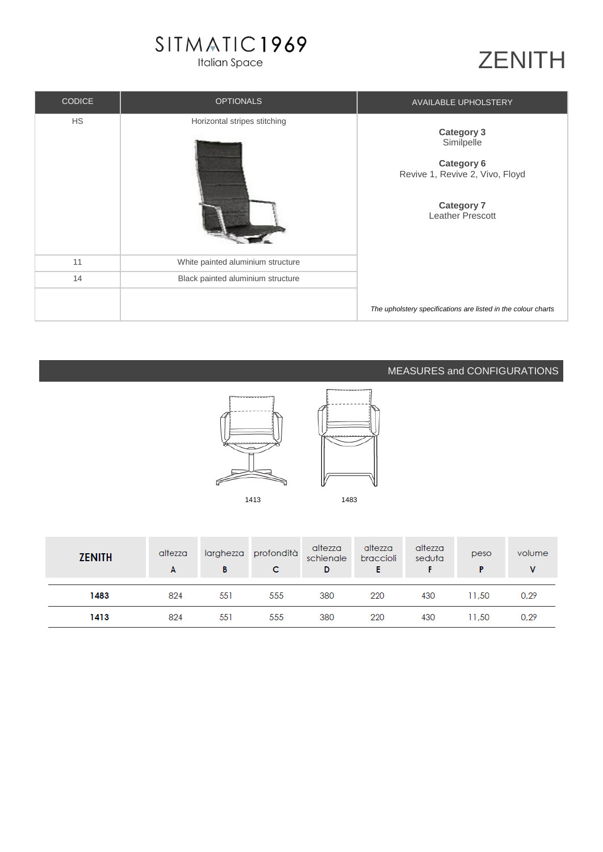# SITMATIC1969

**Italian Space** 

# ZENITH

| <b>CODICE</b> | <b>OPTIONALS</b>                  | <b>AVAILABLE UPHOLSTERY</b>                                                                                                             |
|---------------|-----------------------------------|-----------------------------------------------------------------------------------------------------------------------------------------|
| <b>HS</b>     | Horizontal stripes stitching      | <b>Category 3</b><br>Similpelle<br><b>Category 6</b><br>Revive 1, Revive 2, Vivo, Floyd<br><b>Category 7</b><br><b>Leather Prescott</b> |
| 11            | White painted aluminium structure |                                                                                                                                         |
| 14            | Black painted aluminium structure |                                                                                                                                         |
|               |                                   | The upholstery specifications are listed in the colour charts                                                                           |

### MEASURES and CONFIGURATIONS



| <b>ZENITH</b> | altezza<br>A | larghezza<br>в | profondità<br>C | altezza<br>schienale<br>D | altezza<br>braccioli | altezza<br>seduta | peso  | volume |
|---------------|--------------|----------------|-----------------|---------------------------|----------------------|-------------------|-------|--------|
| 1483          | 824          | 551            | 555             | 380                       | 220                  | 430               | 11.50 | 0.29   |
| 1413          | 824          | 551            | 555             | 380                       | 220                  | 430               | 11,50 | 0,29   |